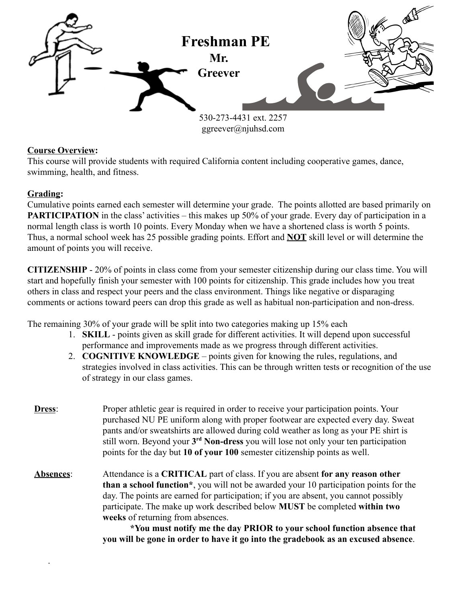

## **Course Overview:**

This course will provide students with required California content including cooperative games, dance, swimming, health, and fitness.

## **Grading:**

.

Cumulative points earned each semester will determine your grade. The points allotted are based primarily on **PARTICIPATION** in the class' activities – this makes up 50% of your grade. Every day of participation in a normal length class is worth 10 points. Every Monday when we have a shortened class is worth 5 points. Thus, a normal school week has 25 possible grading points. Effort and **NOT** skill level or will determine the amount of points you will receive.

**CITIZENSHIP** - 20% of points in class come from your semester citizenship during our class time. You will start and hopefully finish your semester with 100 points for citizenship. This grade includes how you treat others in class and respect your peers and the class environment. Things like negative or disparaging comments or actions toward peers can drop this grade as well as habitual non-participation and non-dress.

The remaining 30% of your grade will be split into two categories making up 15% each

- 1. **SKILL** points given as skill grade for different activities. It will depend upon successful performance and improvements made as we progress through different activities.
- 2. **COGNITIVE KNOWLEDGE** points given for knowing the rules, regulations, and strategies involved in class activities. This can be through written tests or recognition of the use of strategy in our class games.

| Dress:    | Proper athletic gear is required in order to receive your participation points. Your<br>purchased NU PE uniform along with proper footwear are expected every day. Sweat<br>pants and/or sweatshirts are allowed during cold weather as long as your PE shirt is<br>still worn. Beyond your 3 <sup>rd</sup> Non-dress you will lose not only your ten participation<br>points for the day but 10 of your 100 semester citizenship points as well.                                |  |  |  |
|-----------|----------------------------------------------------------------------------------------------------------------------------------------------------------------------------------------------------------------------------------------------------------------------------------------------------------------------------------------------------------------------------------------------------------------------------------------------------------------------------------|--|--|--|
| Absences: | Attendance is a CRITICAL part of class. If you are absent for any reason other<br><b>than a school function</b> <sup>*</sup> , you will not be awarded your 10 participation points for the<br>day. The points are earned for participation; if you are absent, you cannot possibly<br>participate. The make up work described below MUST be completed within two<br>weeks of returning from absences.<br>*You must notify me the day PRIOR to your school function absence that |  |  |  |

**\*You must notify me the day PRIOR to your school function absence that you will be gone in order to have it go into the gradebook as an excused absence**.